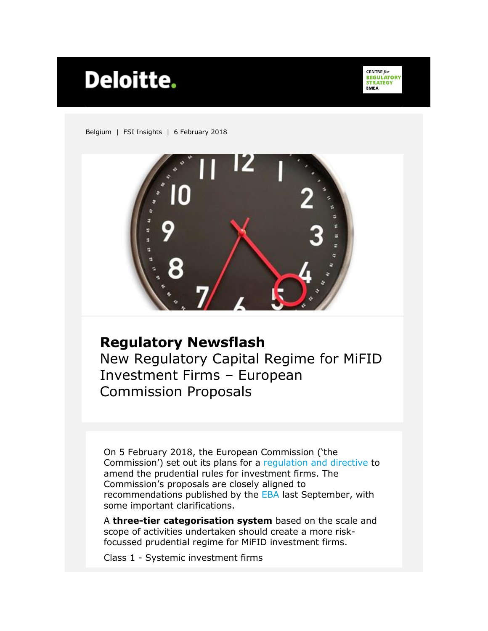# Deloitte.

**CENTRE for<br>REGULATORY<br>STRATEGY FMFA** 

Belgium | FSI Insights | 6 February 2018



#### **Regulatory Newsflash**

New Regulatory Capital Regime for MiFID Investment Firms – European Commission Proposals

On 5 February 2018, the European Commission ('the Commission') set out its plans for a [regulation and directive](https://ec.europa.eu/info/publications/171220-investment-firms-review_en) to amend the prudential rules for investment firms. The Commission's proposals are closely aligned to recommendations published by the [EBA](https://www.eba.europa.eu/documents/10180/1976637/EBA+Advice+on+New+Prudential+Framework+on+Investment+Firms+%28EBA-Op-2017-11%29.pdf) last September, with some important clarifications.

A **three-tier categorisation system** based on the scale and scope of activities undertaken should create a more riskfocussed prudential regime for MiFID investment firms.

Class 1 - Systemic investment firms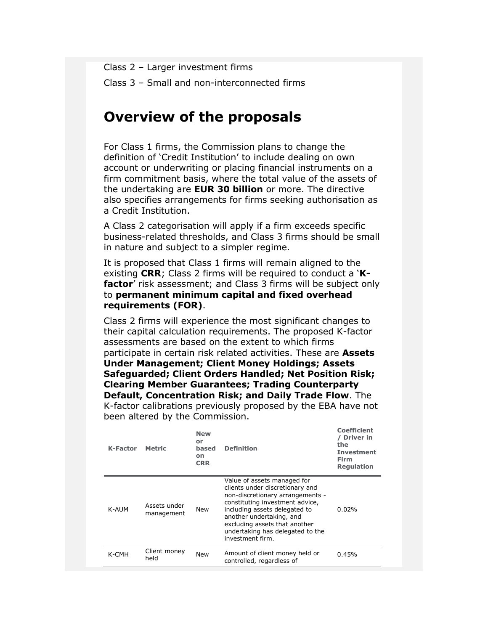Class 2 – Larger investment firms

Class 3 – Small and non-interconnected firms

# **Overview of the proposals**

For Class 1 firms, the Commission plans to change the definition of 'Credit Institution' to include dealing on own account or underwriting or placing financial instruments on a firm commitment basis, where the total value of the assets of the undertaking are **EUR 30 billion** or more. The directive also specifies arrangements for firms seeking authorisation as a Credit Institution.

A Class 2 categorisation will apply if a firm exceeds specific business-related thresholds, and Class 3 firms should be small in nature and subject to a simpler regime.

It is proposed that Class 1 firms will remain aligned to the existing **CRR**; Class 2 firms will be required to conduct a '**Kfactor**' risk assessment; and Class 3 firms will be subject only to **permanent minimum capital and fixed overhead requirements (FOR)**.

Class 2 firms will experience the most significant changes to their capital calculation requirements. The proposed K-factor assessments are based on the extent to which firms participate in certain risk related activities. These are **Assets Under Management; Client Money Holdings; Assets Safeguarded; Client Orders Handled; Net Position Risk; Clearing Member Guarantees; Trading Counterparty Default, Concentration Risk; and Daily Trade Flow**. The K-factor calibrations previously proposed by the EBA have not been altered by the Commission.

| K-Factor | Metric                     | <b>New</b><br>or<br>based<br>on<br><b>CRR</b> | <b>Definition</b>                                                                                                                                                                                                                                                                           | Coefficient<br>/ Driver in<br>the<br><b>Investment</b><br>Firm<br><b>Regulation</b> |
|----------|----------------------------|-----------------------------------------------|---------------------------------------------------------------------------------------------------------------------------------------------------------------------------------------------------------------------------------------------------------------------------------------------|-------------------------------------------------------------------------------------|
| K-AUM    | Assets under<br>management | New                                           | Value of assets managed for<br>clients under discretionary and<br>non-discretionary arrangements -<br>constituting investment advice.<br>including assets delegated to<br>another undertaking, and<br>excluding assets that another<br>undertaking has delegated to the<br>investment firm. | 0.02%                                                                               |
| K-CMH    | Client money<br>held       | New                                           | Amount of client money held or<br>controlled, regardless of                                                                                                                                                                                                                                 | 0.45%                                                                               |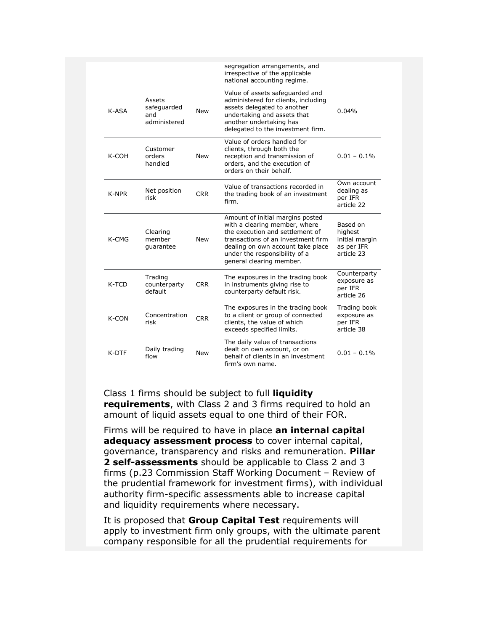|       |                                              |            | segregation arrangements, and<br>irrespective of the applicable<br>national accounting regime.                                                                                                                                               |                                                                   |
|-------|----------------------------------------------|------------|----------------------------------------------------------------------------------------------------------------------------------------------------------------------------------------------------------------------------------------------|-------------------------------------------------------------------|
| K-ASA | Assets<br>safeguarded<br>and<br>administered | <b>New</b> | Value of assets safeguarded and<br>administered for clients, including<br>assets delegated to another<br>undertaking and assets that<br>another undertaking has<br>delegated to the investment firm.                                         | 0.04%                                                             |
| K-COH | Customer<br>orders<br>handled                | <b>New</b> | Value of orders handled for<br>clients, through both the<br>reception and transmission of<br>orders, and the execution of<br>orders on their behalf.                                                                                         | $0.01 - 0.1\%$                                                    |
| K-NPR | Net position<br>risk                         | <b>CRR</b> | Value of transactions recorded in<br>the trading book of an investment<br>firm.                                                                                                                                                              | Own account<br>dealing as<br>per IFR<br>article 22                |
| K-CMG | Clearing<br>member<br>quarantee              | New        | Amount of initial margins posted<br>with a clearing member, where<br>the execution and settlement of<br>transactions of an investment firm<br>dealing on own account take place<br>under the responsibility of a<br>general clearing member. | Based on<br>highest<br>initial margin<br>as per IFR<br>article 23 |
| K-TCD | Trading<br>counterparty<br>default           | <b>CRR</b> | The exposures in the trading book<br>in instruments giving rise to<br>counterparty default risk.                                                                                                                                             | Counterparty<br>exposure as<br>per IFR<br>article 26              |
| K-CON | Concentration<br>risk                        | <b>CRR</b> | The exposures in the trading book<br>to a client or group of connected<br>clients, the value of which<br>exceeds specified limits.                                                                                                           | Trading book<br>exposure as<br>per IFR<br>article 38              |
| K-DTF | Daily trading<br>flow                        | New        | The daily value of transactions<br>dealt on own account, or on<br>behalf of clients in an investment<br>firm's own name.                                                                                                                     | $0.01 - 0.1\%$                                                    |

Class 1 firms should be subject to full **liquidity requirements**, with Class 2 and 3 firms required to hold an amount of liquid assets equal to one third of their FOR.

Firms will be required to have in place **an internal capital adequacy assessment process** to cover internal capital, governance, transparency and risks and remuneration. **Pillar 2 self-assessments** should be applicable to Class 2 and 3 firms (p.23 Commission Staff Working Document – Review of the prudential framework for investment firms), with individual authority firm-specific assessments able to increase capital and liquidity requirements where necessary.

It is proposed that **Group Capital Test** requirements will apply to investment firm only groups, with the ultimate parent company responsible for all the prudential requirements for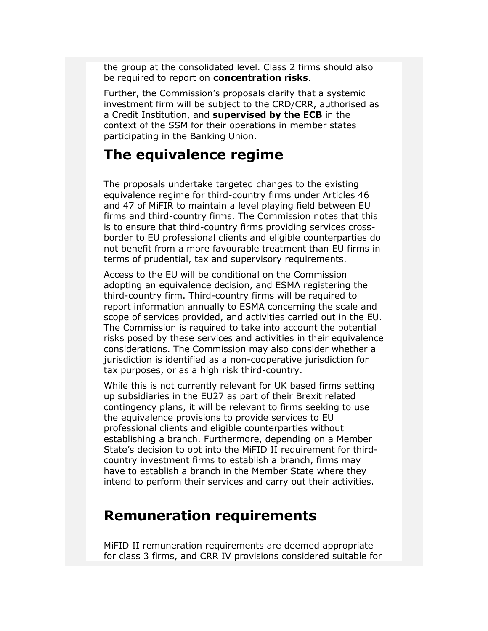the group at the consolidated level. Class 2 firms should also be required to report on **concentration risks**.

Further, the Commission's proposals clarify that a systemic investment firm will be subject to the CRD/CRR, authorised as a Credit Institution, and **supervised by the ECB** in the context of the SSM for their operations in member states participating in the Banking Union.

# **The equivalence regime**

The proposals undertake targeted changes to the existing equivalence regime for third-country firms under Articles 46 and 47 of MiFIR to maintain a level playing field between EU firms and third-country firms. The Commission notes that this is to ensure that third-country firms providing services crossborder to EU professional clients and eligible counterparties do not benefit from a more favourable treatment than EU firms in terms of prudential, tax and supervisory requirements.

Access to the EU will be conditional on the Commission adopting an equivalence decision, and ESMA registering the third-country firm. Third-country firms will be required to report information annually to ESMA concerning the scale and scope of services provided, and activities carried out in the EU. The Commission is required to take into account the potential risks posed by these services and activities in their equivalence considerations. The Commission may also consider whether a jurisdiction is identified as a non-cooperative jurisdiction for tax purposes, or as a high risk third-country.

While this is not currently relevant for UK based firms setting up subsidiaries in the EU27 as part of their Brexit related contingency plans, it will be relevant to firms seeking to use the equivalence provisions to provide services to EU professional clients and eligible counterparties without establishing a branch. Furthermore, depending on a Member State's decision to opt into the MiFID II requirement for thirdcountry investment firms to establish a branch, firms may have to establish a branch in the Member State where they intend to perform their services and carry out their activities.

# **Remuneration requirements**

MiFID II remuneration requirements are deemed appropriate for class 3 firms, and CRR IV provisions considered suitable for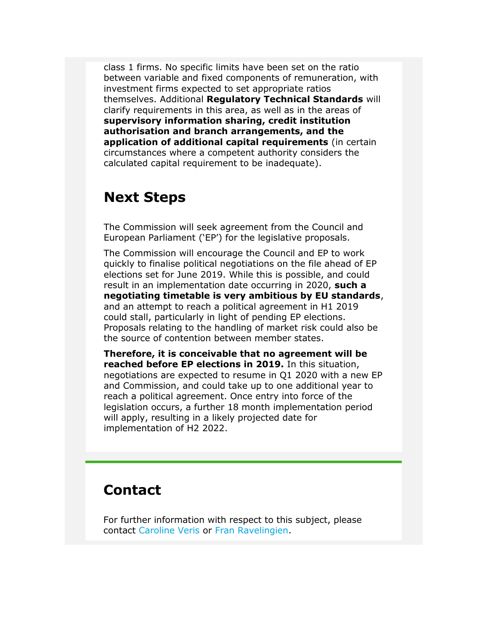class 1 firms. No specific limits have been set on the ratio between variable and fixed components of remuneration, with investment firms expected to set appropriate ratios themselves. Additional **Regulatory Technical Standards** will clarify requirements in this area, as well as in the areas of **supervisory information sharing, credit institution authorisation and branch arrangements, and the application of additional capital requirements** (in certain circumstances where a competent authority considers the calculated capital requirement to be inadequate).

### **Next Steps**

The Commission will seek agreement from the Council and European Parliament ('EP') for the legislative proposals.

The Commission will encourage the Council and EP to work quickly to finalise political negotiations on the file ahead of EP elections set for June 2019. While this is possible, and could result in an implementation date occurring in 2020, **such a negotiating timetable is very ambitious by EU standards**, and an attempt to reach a political agreement in H1 2019 could stall, particularly in light of pending EP elections. Proposals relating to the handling of market risk could also be the source of contention between member states.

**Therefore, it is conceivable that no agreement will be reached before EP elections in 2019.** In this situation, negotiations are expected to resume in Q1 2020 with a new EP and Commission, and could take up to one additional year to reach a political agreement. Once entry into force of the legislation occurs, a further 18 month implementation period will apply, resulting in a likely projected date for implementation of H2 2022.

### **Contact**

For further information with respect to this subject, please contact [Caroline Veris](mailto:cveris@deloitte.com) or [Fran Ravelingien.](mailto:fravelingien@deloitte.com)